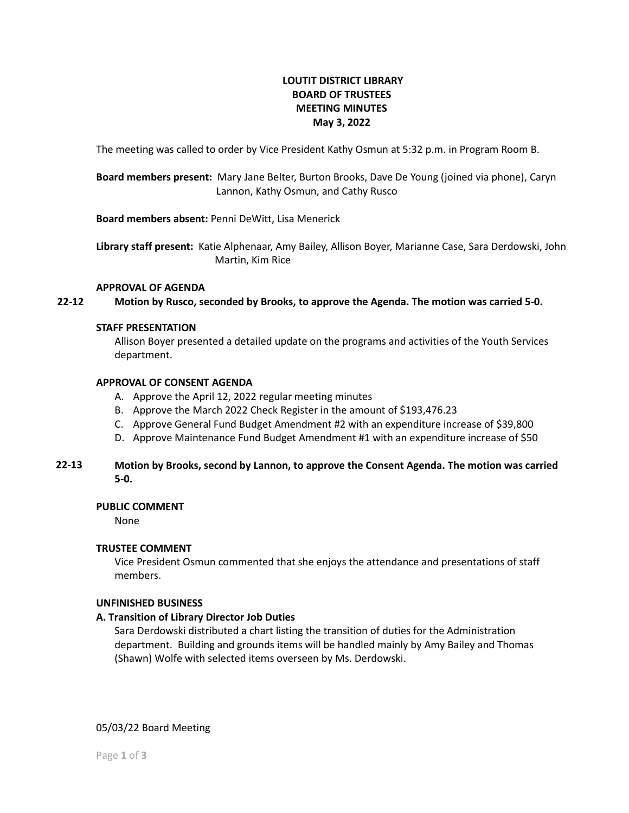# **LOUTIT DISTRICT LIBRARY BOARD OF TRUSTEES MEETING MINUTES May 3, 2022**

The meeting was called to order by Vice President Kathy Osmun at 5:32 p.m. in Program Room B.

**Board members present:** Mary Jane Belter, Burton Brooks, Dave De Young (joined via phone), Caryn Lannon, Kathy Osmun, and Cathy Rusco

**Board members absent:** Penni DeWitt, Lisa Menerick

**Library staff present:** Katie Alphenaar, Amy Bailey, Allison Boyer, Marianne Case, Sara Derdowski, John Martin, Kim Rice

### **APPROVAL OF AGENDA**

**Motion by Rusco, seconded by Brooks, to approve the Agenda. The motion was carried 5-0. 22-12**

### **STAFF PRESENTATION**

Allison Boyer presented a detailed update on the programs and activities of the Youth Services department.

### **APPROVAL OF CONSENT AGENDA**

- A. Approve the April 12, 2022 regular meeting minutes
- B. Approve the March 2022 Check Register in the amount of \$193,476.23
- C. Approve General Fund Budget Amendment #2 with an expenditure increase of \$39,800
- D. Approve Maintenance Fund Budget Amendment #1 with an expenditure increase of \$50

### **Motion by Brooks, second by Lannon, to approve the Consent Agenda. The motion was carried 5-0. 22-13**

### **PUBLIC COMMENT**

None

## **TRUSTEE COMMENT**

Vice President Osmun commented that she enjoys the attendance and presentations of staff members.

### **UNFINISHED BUSINESS**

## **A. Transition of Library Director Job Duties**

Sara Derdowski distributed a chart listing the transition of duties for the Administration department. Building and grounds items will be handled mainly by Amy Bailey and Thomas (Shawn) Wolfe with selected items overseen by Ms. Derdowski.

05/03/22 Board Meeting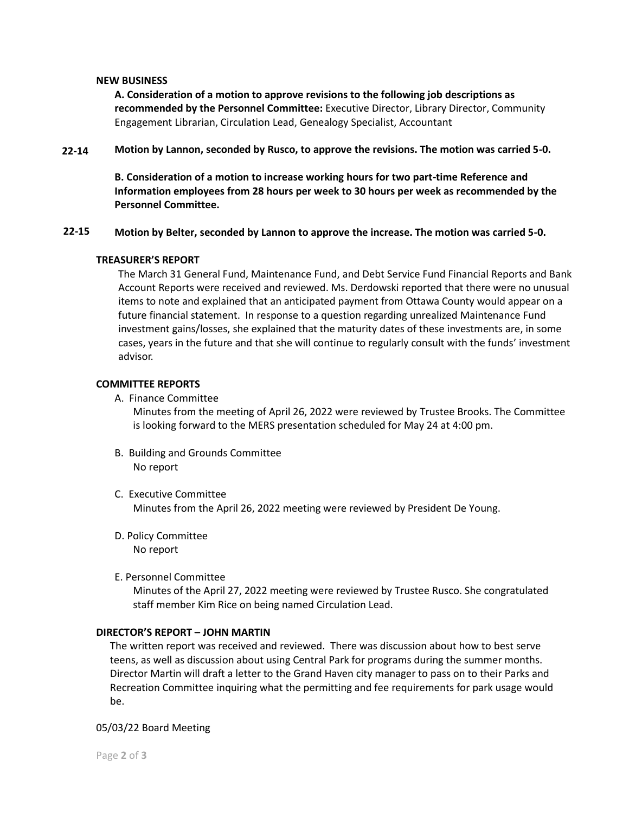### **NEW BUSINESS**

**A. Consideration of a motion to approve revisions to the following job descriptions as recommended by the Personnel Committee:** Executive Director, Library Director, Community Engagement Librarian, Circulation Lead, Genealogy Specialist, Accountant

#### **22-14 Motion by Lannon, seconded by Rusco, to approve the revisions. The motion was carried 5-0.**

**B. Consideration of a motion to increase working hours for two part-time Reference and Information employees from 28 hours per week to 30 hours per week as recommended by the Personnel Committee.**

#### **22-15 Motion by Belter, seconded by Lannon to approve the increase. The motion was carried 5-0.**

### **TREASURER'S REPORT**

The March 31 General Fund, Maintenance Fund, and Debt Service Fund Financial Reports and Bank Account Reports were received and reviewed. Ms. Derdowski reported that there were no unusual items to note and explained that an anticipated payment from Ottawa County would appear on a future financial statement. In response to a question regarding unrealized Maintenance Fund investment gains/losses, she explained that the maturity dates of these investments are, in some cases, years in the future and that she will continue to regularly consult with the funds' investment advisor.

### **COMMITTEE REPORTS**

A. Finance Committee

Minutes from the meeting of April 26, 2022 were reviewed by Trustee Brooks. The Committee is looking forward to the MERS presentation scheduled for May 24 at 4:00 pm.

- B. Building and Grounds Committee No report
- C. Executive Committee Minutes from the April 26, 2022 meeting were reviewed by President De Young.
- D. Policy Committee No report
- E. Personnel Committee

Minutes of the April 27, 2022 meeting were reviewed by Trustee Rusco. She congratulated staff member Kim Rice on being named Circulation Lead.

## **DIRECTOR'S REPORT – JOHN MARTIN**

The written report was received and reviewed. There was discussion about how to best serve teens, as well as discussion about using Central Park for programs during the summer months. Director Martin will draft a letter to the Grand Haven city manager to pass on to their Parks and Recreation Committee inquiring what the permitting and fee requirements for park usage would be.

05/03/22 Board Meeting